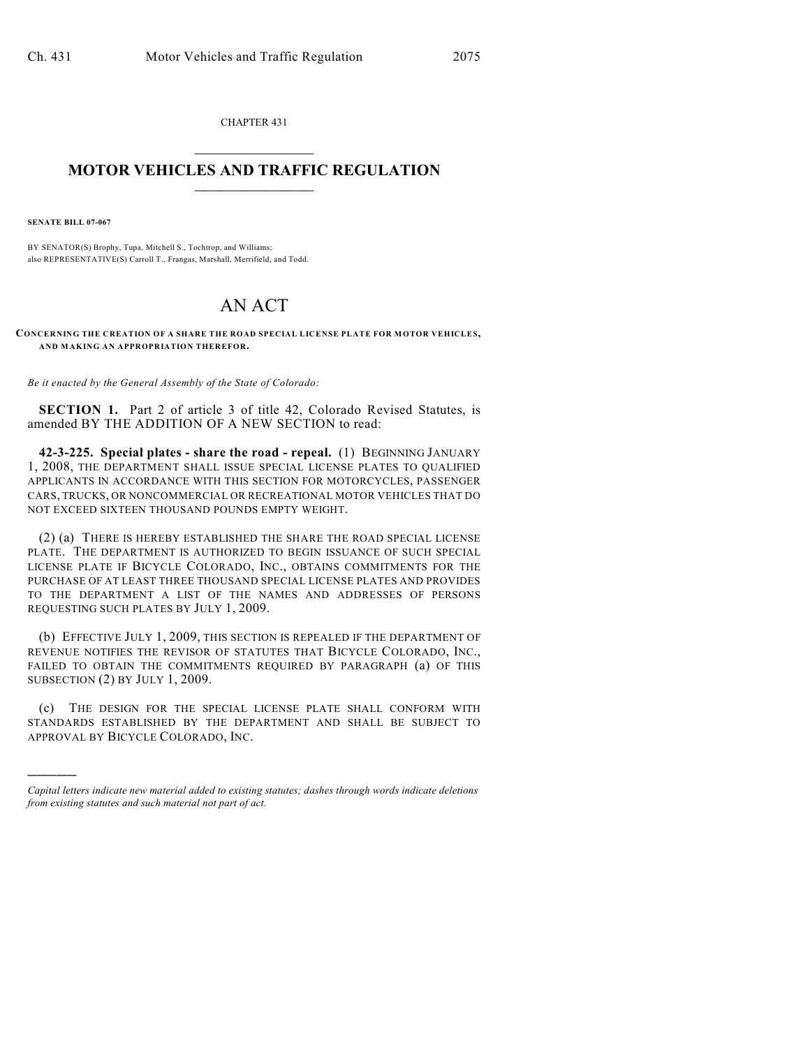CHAPTER 431  $\mathcal{L}_\text{max}$  . The set of the set of the set of the set of the set of the set of the set of the set of the set of the set of the set of the set of the set of the set of the set of the set of the set of the set of the set

## **MOTOR VEHICLES AND TRAFFIC REGULATION**  $\frac{1}{2}$  ,  $\frac{1}{2}$  ,  $\frac{1}{2}$  ,  $\frac{1}{2}$  ,  $\frac{1}{2}$  ,  $\frac{1}{2}$  ,  $\frac{1}{2}$  ,  $\frac{1}{2}$

**SENATE BILL 07-067**

)))))

BY SENATOR(S) Brophy, Tupa, Mitchell S., Tochtrop, and Williams; also REPRESENTATIVE(S) Carroll T., Frangas, Marshall, Merrifield, and Todd.

## AN ACT

**CONCERNING THE CREATION OF A SHARE THE ROAD SPECIAL LICENSE PLATE FOR MOTOR VEHICLES, AND MAKING AN APPROPRIATION THEREFOR.**

*Be it enacted by the General Assembly of the State of Colorado:*

**SECTION 1.** Part 2 of article 3 of title 42, Colorado Revised Statutes, is amended BY THE ADDITION OF A NEW SECTION to read:

**42-3-225. Special plates - share the road - repeal.** (1) BEGINNING JANUARY 1, 2008, THE DEPARTMENT SHALL ISSUE SPECIAL LICENSE PLATES TO QUALIFIED APPLICANTS IN ACCORDANCE WITH THIS SECTION FOR MOTORCYCLES, PASSENGER CARS, TRUCKS, OR NONCOMMERCIAL OR RECREATIONAL MOTOR VEHICLES THAT DO NOT EXCEED SIXTEEN THOUSAND POUNDS EMPTY WEIGHT.

(2) (a) THERE IS HEREBY ESTABLISHED THE SHARE THE ROAD SPECIAL LICENSE PLATE. THE DEPARTMENT IS AUTHORIZED TO BEGIN ISSUANCE OF SUCH SPECIAL LICENSE PLATE IF BICYCLE COLORADO, INC., OBTAINS COMMITMENTS FOR THE PURCHASE OF AT LEAST THREE THOUSAND SPECIAL LICENSE PLATES AND PROVIDES TO THE DEPARTMENT A LIST OF THE NAMES AND ADDRESSES OF PERSONS REQUESTING SUCH PLATES BY JULY 1, 2009.

(b) EFFECTIVE JULY 1, 2009, THIS SECTION IS REPEALED IF THE DEPARTMENT OF REVENUE NOTIFIES THE REVISOR OF STATUTES THAT BICYCLE COLORADO, INC., FAILED TO OBTAIN THE COMMITMENTS REQUIRED BY PARAGRAPH (a) OF THIS SUBSECTION (2) BY JULY 1, 2009.

(c) THE DESIGN FOR THE SPECIAL LICENSE PLATE SHALL CONFORM WITH STANDARDS ESTABLISHED BY THE DEPARTMENT AND SHALL BE SUBJECT TO APPROVAL BY BICYCLE COLORADO, INC.

*Capital letters indicate new material added to existing statutes; dashes through words indicate deletions from existing statutes and such material not part of act.*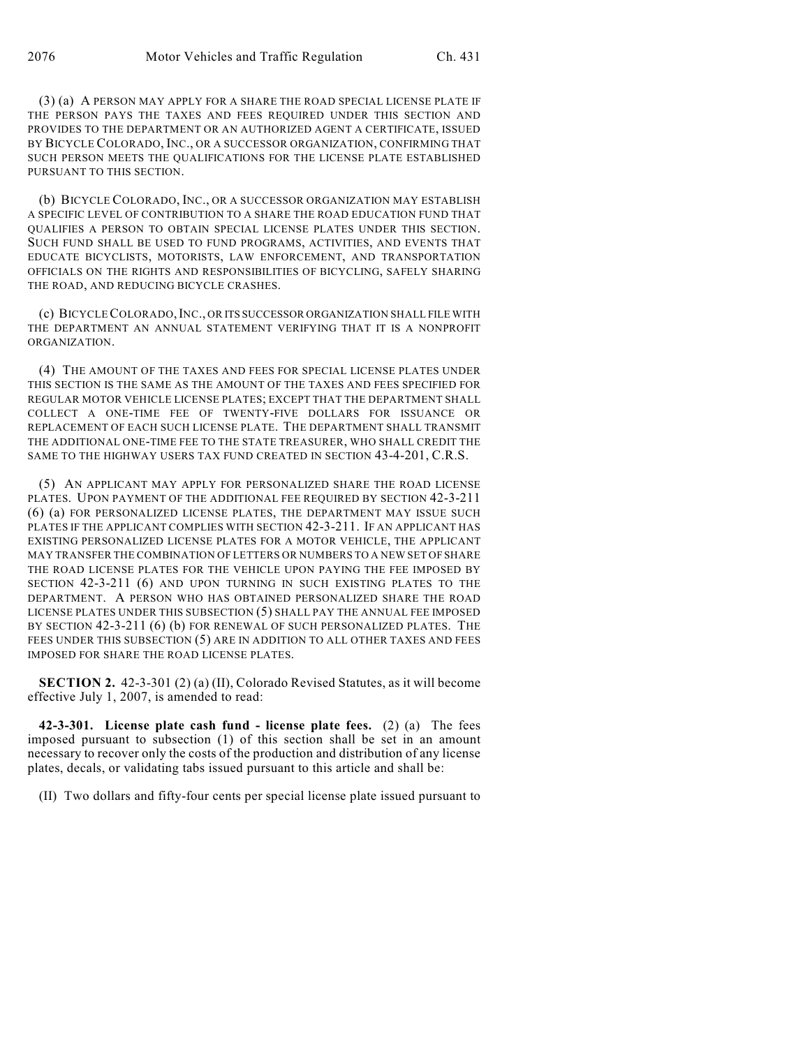(3) (a) A PERSON MAY APPLY FOR A SHARE THE ROAD SPECIAL LICENSE PLATE IF THE PERSON PAYS THE TAXES AND FEES REQUIRED UNDER THIS SECTION AND PROVIDES TO THE DEPARTMENT OR AN AUTHORIZED AGENT A CERTIFICATE, ISSUED BY BICYCLE COLORADO, INC., OR A SUCCESSOR ORGANIZATION, CONFIRMING THAT SUCH PERSON MEETS THE QUALIFICATIONS FOR THE LICENSE PLATE ESTABLISHED PURSUANT TO THIS SECTION.

(b) BICYCLE COLORADO, INC., OR A SUCCESSOR ORGANIZATION MAY ESTABLISH A SPECIFIC LEVEL OF CONTRIBUTION TO A SHARE THE ROAD EDUCATION FUND THAT QUALIFIES A PERSON TO OBTAIN SPECIAL LICENSE PLATES UNDER THIS SECTION. SUCH FUND SHALL BE USED TO FUND PROGRAMS, ACTIVITIES, AND EVENTS THAT EDUCATE BICYCLISTS, MOTORISTS, LAW ENFORCEMENT, AND TRANSPORTATION OFFICIALS ON THE RIGHTS AND RESPONSIBILITIES OF BICYCLING, SAFELY SHARING THE ROAD, AND REDUCING BICYCLE CRASHES.

(c) BICYCLE COLORADO,INC., OR ITS SUCCESSOR ORGANIZATION SHALL FILE WITH THE DEPARTMENT AN ANNUAL STATEMENT VERIFYING THAT IT IS A NONPROFIT ORGANIZATION.

(4) THE AMOUNT OF THE TAXES AND FEES FOR SPECIAL LICENSE PLATES UNDER THIS SECTION IS THE SAME AS THE AMOUNT OF THE TAXES AND FEES SPECIFIED FOR REGULAR MOTOR VEHICLE LICENSE PLATES; EXCEPT THAT THE DEPARTMENT SHALL COLLECT A ONE-TIME FEE OF TWENTY-FIVE DOLLARS FOR ISSUANCE OR REPLACEMENT OF EACH SUCH LICENSE PLATE. THE DEPARTMENT SHALL TRANSMIT THE ADDITIONAL ONE-TIME FEE TO THE STATE TREASURER, WHO SHALL CREDIT THE SAME TO THE HIGHWAY USERS TAX FUND CREATED IN SECTION 43-4-201, C.R.S.

(5) AN APPLICANT MAY APPLY FOR PERSONALIZED SHARE THE ROAD LICENSE PLATES. UPON PAYMENT OF THE ADDITIONAL FEE REQUIRED BY SECTION 42-3-211 (6) (a) FOR PERSONALIZED LICENSE PLATES, THE DEPARTMENT MAY ISSUE SUCH PLATES IF THE APPLICANT COMPLIES WITH SECTION 42-3-211. IF AN APPLICANT HAS EXISTING PERSONALIZED LICENSE PLATES FOR A MOTOR VEHICLE, THE APPLICANT MAY TRANSFER THE COMBINATION OF LETTERS OR NUMBERS TO A NEW SET OF SHARE THE ROAD LICENSE PLATES FOR THE VEHICLE UPON PAYING THE FEE IMPOSED BY SECTION 42-3-211 (6) AND UPON TURNING IN SUCH EXISTING PLATES TO THE DEPARTMENT. A PERSON WHO HAS OBTAINED PERSONALIZED SHARE THE ROAD LICENSE PLATES UNDER THIS SUBSECTION (5) SHALL PAY THE ANNUAL FEE IMPOSED BY SECTION 42-3-211 (6) (b) FOR RENEWAL OF SUCH PERSONALIZED PLATES. THE FEES UNDER THIS SUBSECTION (5) ARE IN ADDITION TO ALL OTHER TAXES AND FEES IMPOSED FOR SHARE THE ROAD LICENSE PLATES.

**SECTION 2.** 42-3-301 (2) (a) (II), Colorado Revised Statutes, as it will become effective July 1, 2007, is amended to read:

**42-3-301. License plate cash fund - license plate fees.** (2) (a) The fees imposed pursuant to subsection (1) of this section shall be set in an amount necessary to recover only the costs of the production and distribution of any license plates, decals, or validating tabs issued pursuant to this article and shall be:

(II) Two dollars and fifty-four cents per special license plate issued pursuant to